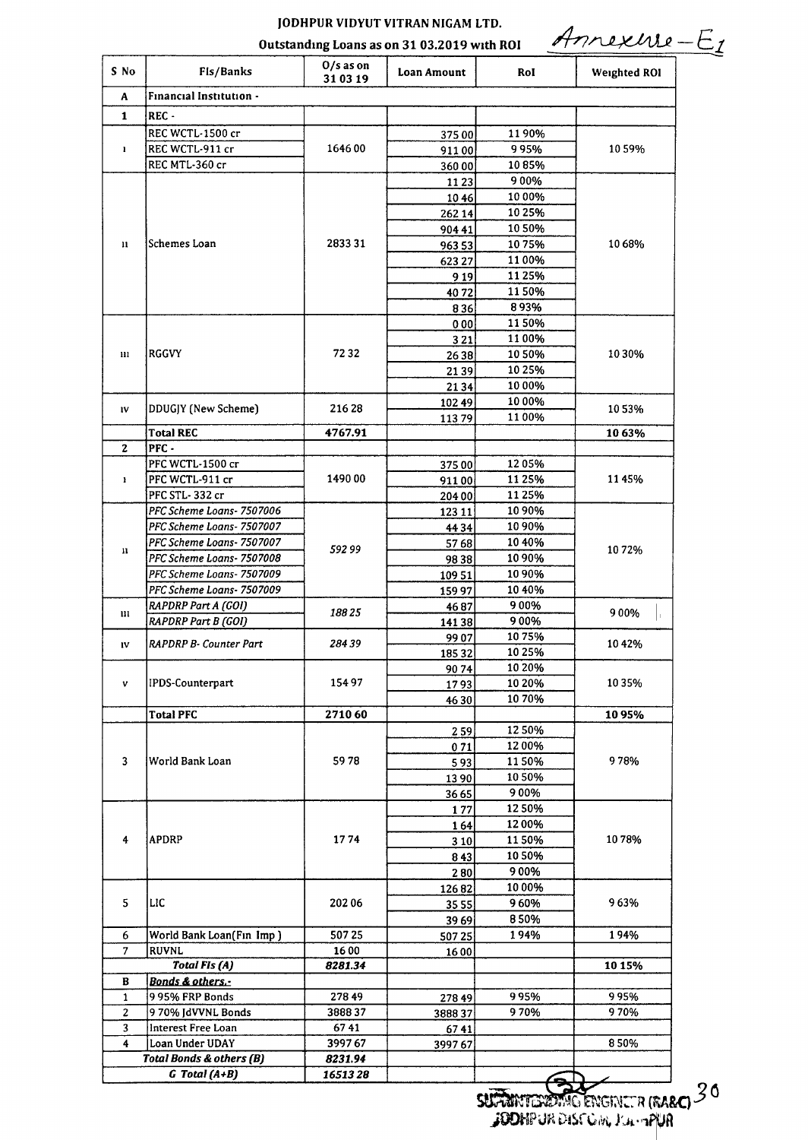## JODHPUR VIDYUT VITRAN NIGAM LTD.

Outstanding Loans as on 31 03.2019 with ROI

Annexure-E1

| Financial Institution -<br>A<br>$\mathbf{1}$<br>REC-<br>REC WCTL-1500 cr<br>1190%<br>37500<br>164600<br>REC WCTL-911 cr<br>9 95%<br>1059%<br>1<br>91100<br>REC MTL-360 cr<br>1085%<br>36000<br>900%<br>11 23<br>10 00%<br>1046<br>10 25%<br>262 14<br>10 50%<br>904 41<br>Schemes Loan<br>283331<br>1068%<br>1075%<br>$\mathbf{u}$<br>96353<br>1100%<br>623 27<br>1125%<br>919<br>1150%<br>4072<br>893%<br>836<br>1150%<br>000<br>1100%<br>321<br>7232<br><b>RGGVY</b><br>1050%<br>10 30%<br>111<br>2638<br>10 25%<br>2139<br>10 00%<br>2134<br>10 00%<br>10249<br>DDUGJY (New Scheme)<br>216 28<br>1053%<br>IV<br>1100%<br>11379<br><b>Total REC</b><br>4767.91<br>10 63%<br>$\mathbf{z}$<br>$PFC -$<br>1205%<br>PFC WCTL-1500 cr<br>37500<br>1490 00<br>1125%<br>1145%<br>PFC WCTL-911 cr<br>1<br>91100<br>PFC STL-332 cr<br>11 25%<br>204 00<br>PFC Scheme Loans- 7507006<br>10 90%<br>123 11<br>PFC Scheme Loans- 7507007<br>1090%<br>4434<br>PFC Scheme Loans-7507007<br>10 40%<br>5768<br>592 99<br>1072%<br>n<br>PFC Scheme Loans-7507008<br>10 90%<br>9838<br>PFC Scheme Loans- 7507009<br>10 90%<br>10951<br>PFC Scheme Loans- 7507009<br>1040%<br>15997<br>900%<br><b>RAPDRP Part A (GOI)</b><br>4687<br>188 25<br>900%<br>$\mathbf{m}$<br>900%<br><b>RAPDRP Part B (GOI)</b><br>14138<br>1075%<br>9907<br>RAPDRP B- Counter Part<br>284 39<br>1042%<br>IV<br>10 25%<br>18532<br>9074<br>10 20%<br>IPDS-Counterpart<br>15497<br>1035%<br>10 20%<br>1793<br>v<br>10 70%<br>4630<br><b>Total PFC</b><br>271060<br>1095%<br>1250%<br>259<br>1200%<br>071<br>5978<br>978%<br>3<br>World Bank Loan<br>1150%<br>593<br>10 50%<br>1390<br>900%<br>3665<br>1250%<br>177<br>1200%<br>164<br><b>APDRP</b><br>1774<br>1150%<br>1078%<br>4<br>3 1 0<br>10 50%<br>843<br>900%<br>280<br>10 00%<br>12682<br>5<br>LIC<br>963%<br>20206<br>960%<br>35 55<br>850%<br>39 69<br>6<br>50725<br>194%<br>194%<br>World Bank Loan(Fin Imp)<br>50725<br>7<br><b>RUVNL</b><br>1600<br>1600<br><b>Total FIs (A)</b><br>8281.34<br>10 15%<br>Bonds & others.-<br>в<br>995%<br>995%<br>27849<br>995% FRP Bonds<br>$\mathbf{1}$<br>278 49<br>970%<br>970%<br>2<br>970% JdVVNL Bonds<br>388837<br>388837<br>Interest Free Loan<br>6741<br>3<br>6741<br>4<br>Loan Under UDAY<br>850%<br>399767<br>399767<br>Total Bonds & others (B)<br>8231.94 | S No | Fis/Banks         | $0/s$ as on<br>31 03 19 | Loan Amount | Rol | <b>Weighted ROI</b> |
|----------------------------------------------------------------------------------------------------------------------------------------------------------------------------------------------------------------------------------------------------------------------------------------------------------------------------------------------------------------------------------------------------------------------------------------------------------------------------------------------------------------------------------------------------------------------------------------------------------------------------------------------------------------------------------------------------------------------------------------------------------------------------------------------------------------------------------------------------------------------------------------------------------------------------------------------------------------------------------------------------------------------------------------------------------------------------------------------------------------------------------------------------------------------------------------------------------------------------------------------------------------------------------------------------------------------------------------------------------------------------------------------------------------------------------------------------------------------------------------------------------------------------------------------------------------------------------------------------------------------------------------------------------------------------------------------------------------------------------------------------------------------------------------------------------------------------------------------------------------------------------------------------------------------------------------------------------------------------------------------------------------------------------------------------------------------------------------------------------------------------------------------------------------------------------------------------------------------------------------------------------------------------------------------------------------------------|------|-------------------|-------------------------|-------------|-----|---------------------|
|                                                                                                                                                                                                                                                                                                                                                                                                                                                                                                                                                                                                                                                                                                                                                                                                                                                                                                                                                                                                                                                                                                                                                                                                                                                                                                                                                                                                                                                                                                                                                                                                                                                                                                                                                                                                                                                                                                                                                                                                                                                                                                                                                                                                                                                                                                                            |      |                   |                         |             |     |                     |
|                                                                                                                                                                                                                                                                                                                                                                                                                                                                                                                                                                                                                                                                                                                                                                                                                                                                                                                                                                                                                                                                                                                                                                                                                                                                                                                                                                                                                                                                                                                                                                                                                                                                                                                                                                                                                                                                                                                                                                                                                                                                                                                                                                                                                                                                                                                            |      |                   |                         |             |     |                     |
|                                                                                                                                                                                                                                                                                                                                                                                                                                                                                                                                                                                                                                                                                                                                                                                                                                                                                                                                                                                                                                                                                                                                                                                                                                                                                                                                                                                                                                                                                                                                                                                                                                                                                                                                                                                                                                                                                                                                                                                                                                                                                                                                                                                                                                                                                                                            |      |                   |                         |             |     |                     |
|                                                                                                                                                                                                                                                                                                                                                                                                                                                                                                                                                                                                                                                                                                                                                                                                                                                                                                                                                                                                                                                                                                                                                                                                                                                                                                                                                                                                                                                                                                                                                                                                                                                                                                                                                                                                                                                                                                                                                                                                                                                                                                                                                                                                                                                                                                                            |      |                   |                         |             |     |                     |
|                                                                                                                                                                                                                                                                                                                                                                                                                                                                                                                                                                                                                                                                                                                                                                                                                                                                                                                                                                                                                                                                                                                                                                                                                                                                                                                                                                                                                                                                                                                                                                                                                                                                                                                                                                                                                                                                                                                                                                                                                                                                                                                                                                                                                                                                                                                            |      |                   |                         |             |     |                     |
|                                                                                                                                                                                                                                                                                                                                                                                                                                                                                                                                                                                                                                                                                                                                                                                                                                                                                                                                                                                                                                                                                                                                                                                                                                                                                                                                                                                                                                                                                                                                                                                                                                                                                                                                                                                                                                                                                                                                                                                                                                                                                                                                                                                                                                                                                                                            |      |                   |                         |             |     |                     |
|                                                                                                                                                                                                                                                                                                                                                                                                                                                                                                                                                                                                                                                                                                                                                                                                                                                                                                                                                                                                                                                                                                                                                                                                                                                                                                                                                                                                                                                                                                                                                                                                                                                                                                                                                                                                                                                                                                                                                                                                                                                                                                                                                                                                                                                                                                                            |      |                   |                         |             |     |                     |
|                                                                                                                                                                                                                                                                                                                                                                                                                                                                                                                                                                                                                                                                                                                                                                                                                                                                                                                                                                                                                                                                                                                                                                                                                                                                                                                                                                                                                                                                                                                                                                                                                                                                                                                                                                                                                                                                                                                                                                                                                                                                                                                                                                                                                                                                                                                            |      |                   |                         |             |     |                     |
|                                                                                                                                                                                                                                                                                                                                                                                                                                                                                                                                                                                                                                                                                                                                                                                                                                                                                                                                                                                                                                                                                                                                                                                                                                                                                                                                                                                                                                                                                                                                                                                                                                                                                                                                                                                                                                                                                                                                                                                                                                                                                                                                                                                                                                                                                                                            |      |                   |                         |             |     |                     |
|                                                                                                                                                                                                                                                                                                                                                                                                                                                                                                                                                                                                                                                                                                                                                                                                                                                                                                                                                                                                                                                                                                                                                                                                                                                                                                                                                                                                                                                                                                                                                                                                                                                                                                                                                                                                                                                                                                                                                                                                                                                                                                                                                                                                                                                                                                                            |      |                   |                         |             |     |                     |
|                                                                                                                                                                                                                                                                                                                                                                                                                                                                                                                                                                                                                                                                                                                                                                                                                                                                                                                                                                                                                                                                                                                                                                                                                                                                                                                                                                                                                                                                                                                                                                                                                                                                                                                                                                                                                                                                                                                                                                                                                                                                                                                                                                                                                                                                                                                            |      |                   |                         |             |     |                     |
|                                                                                                                                                                                                                                                                                                                                                                                                                                                                                                                                                                                                                                                                                                                                                                                                                                                                                                                                                                                                                                                                                                                                                                                                                                                                                                                                                                                                                                                                                                                                                                                                                                                                                                                                                                                                                                                                                                                                                                                                                                                                                                                                                                                                                                                                                                                            |      |                   |                         |             |     |                     |
|                                                                                                                                                                                                                                                                                                                                                                                                                                                                                                                                                                                                                                                                                                                                                                                                                                                                                                                                                                                                                                                                                                                                                                                                                                                                                                                                                                                                                                                                                                                                                                                                                                                                                                                                                                                                                                                                                                                                                                                                                                                                                                                                                                                                                                                                                                                            |      |                   |                         |             |     |                     |
|                                                                                                                                                                                                                                                                                                                                                                                                                                                                                                                                                                                                                                                                                                                                                                                                                                                                                                                                                                                                                                                                                                                                                                                                                                                                                                                                                                                                                                                                                                                                                                                                                                                                                                                                                                                                                                                                                                                                                                                                                                                                                                                                                                                                                                                                                                                            |      |                   |                         |             |     |                     |
|                                                                                                                                                                                                                                                                                                                                                                                                                                                                                                                                                                                                                                                                                                                                                                                                                                                                                                                                                                                                                                                                                                                                                                                                                                                                                                                                                                                                                                                                                                                                                                                                                                                                                                                                                                                                                                                                                                                                                                                                                                                                                                                                                                                                                                                                                                                            |      |                   |                         |             |     |                     |
|                                                                                                                                                                                                                                                                                                                                                                                                                                                                                                                                                                                                                                                                                                                                                                                                                                                                                                                                                                                                                                                                                                                                                                                                                                                                                                                                                                                                                                                                                                                                                                                                                                                                                                                                                                                                                                                                                                                                                                                                                                                                                                                                                                                                                                                                                                                            |      |                   |                         |             |     |                     |
|                                                                                                                                                                                                                                                                                                                                                                                                                                                                                                                                                                                                                                                                                                                                                                                                                                                                                                                                                                                                                                                                                                                                                                                                                                                                                                                                                                                                                                                                                                                                                                                                                                                                                                                                                                                                                                                                                                                                                                                                                                                                                                                                                                                                                                                                                                                            |      |                   |                         |             |     |                     |
|                                                                                                                                                                                                                                                                                                                                                                                                                                                                                                                                                                                                                                                                                                                                                                                                                                                                                                                                                                                                                                                                                                                                                                                                                                                                                                                                                                                                                                                                                                                                                                                                                                                                                                                                                                                                                                                                                                                                                                                                                                                                                                                                                                                                                                                                                                                            |      |                   |                         |             |     |                     |
|                                                                                                                                                                                                                                                                                                                                                                                                                                                                                                                                                                                                                                                                                                                                                                                                                                                                                                                                                                                                                                                                                                                                                                                                                                                                                                                                                                                                                                                                                                                                                                                                                                                                                                                                                                                                                                                                                                                                                                                                                                                                                                                                                                                                                                                                                                                            |      |                   |                         |             |     |                     |
|                                                                                                                                                                                                                                                                                                                                                                                                                                                                                                                                                                                                                                                                                                                                                                                                                                                                                                                                                                                                                                                                                                                                                                                                                                                                                                                                                                                                                                                                                                                                                                                                                                                                                                                                                                                                                                                                                                                                                                                                                                                                                                                                                                                                                                                                                                                            |      |                   |                         |             |     |                     |
|                                                                                                                                                                                                                                                                                                                                                                                                                                                                                                                                                                                                                                                                                                                                                                                                                                                                                                                                                                                                                                                                                                                                                                                                                                                                                                                                                                                                                                                                                                                                                                                                                                                                                                                                                                                                                                                                                                                                                                                                                                                                                                                                                                                                                                                                                                                            |      |                   |                         |             |     |                     |
|                                                                                                                                                                                                                                                                                                                                                                                                                                                                                                                                                                                                                                                                                                                                                                                                                                                                                                                                                                                                                                                                                                                                                                                                                                                                                                                                                                                                                                                                                                                                                                                                                                                                                                                                                                                                                                                                                                                                                                                                                                                                                                                                                                                                                                                                                                                            |      |                   |                         |             |     |                     |
|                                                                                                                                                                                                                                                                                                                                                                                                                                                                                                                                                                                                                                                                                                                                                                                                                                                                                                                                                                                                                                                                                                                                                                                                                                                                                                                                                                                                                                                                                                                                                                                                                                                                                                                                                                                                                                                                                                                                                                                                                                                                                                                                                                                                                                                                                                                            |      |                   |                         |             |     |                     |
|                                                                                                                                                                                                                                                                                                                                                                                                                                                                                                                                                                                                                                                                                                                                                                                                                                                                                                                                                                                                                                                                                                                                                                                                                                                                                                                                                                                                                                                                                                                                                                                                                                                                                                                                                                                                                                                                                                                                                                                                                                                                                                                                                                                                                                                                                                                            |      |                   |                         |             |     |                     |
|                                                                                                                                                                                                                                                                                                                                                                                                                                                                                                                                                                                                                                                                                                                                                                                                                                                                                                                                                                                                                                                                                                                                                                                                                                                                                                                                                                                                                                                                                                                                                                                                                                                                                                                                                                                                                                                                                                                                                                                                                                                                                                                                                                                                                                                                                                                            |      |                   |                         |             |     |                     |
|                                                                                                                                                                                                                                                                                                                                                                                                                                                                                                                                                                                                                                                                                                                                                                                                                                                                                                                                                                                                                                                                                                                                                                                                                                                                                                                                                                                                                                                                                                                                                                                                                                                                                                                                                                                                                                                                                                                                                                                                                                                                                                                                                                                                                                                                                                                            |      |                   |                         |             |     |                     |
|                                                                                                                                                                                                                                                                                                                                                                                                                                                                                                                                                                                                                                                                                                                                                                                                                                                                                                                                                                                                                                                                                                                                                                                                                                                                                                                                                                                                                                                                                                                                                                                                                                                                                                                                                                                                                                                                                                                                                                                                                                                                                                                                                                                                                                                                                                                            |      |                   |                         |             |     |                     |
|                                                                                                                                                                                                                                                                                                                                                                                                                                                                                                                                                                                                                                                                                                                                                                                                                                                                                                                                                                                                                                                                                                                                                                                                                                                                                                                                                                                                                                                                                                                                                                                                                                                                                                                                                                                                                                                                                                                                                                                                                                                                                                                                                                                                                                                                                                                            |      |                   |                         |             |     |                     |
|                                                                                                                                                                                                                                                                                                                                                                                                                                                                                                                                                                                                                                                                                                                                                                                                                                                                                                                                                                                                                                                                                                                                                                                                                                                                                                                                                                                                                                                                                                                                                                                                                                                                                                                                                                                                                                                                                                                                                                                                                                                                                                                                                                                                                                                                                                                            |      |                   |                         |             |     |                     |
|                                                                                                                                                                                                                                                                                                                                                                                                                                                                                                                                                                                                                                                                                                                                                                                                                                                                                                                                                                                                                                                                                                                                                                                                                                                                                                                                                                                                                                                                                                                                                                                                                                                                                                                                                                                                                                                                                                                                                                                                                                                                                                                                                                                                                                                                                                                            |      |                   |                         |             |     |                     |
|                                                                                                                                                                                                                                                                                                                                                                                                                                                                                                                                                                                                                                                                                                                                                                                                                                                                                                                                                                                                                                                                                                                                                                                                                                                                                                                                                                                                                                                                                                                                                                                                                                                                                                                                                                                                                                                                                                                                                                                                                                                                                                                                                                                                                                                                                                                            |      |                   |                         |             |     |                     |
|                                                                                                                                                                                                                                                                                                                                                                                                                                                                                                                                                                                                                                                                                                                                                                                                                                                                                                                                                                                                                                                                                                                                                                                                                                                                                                                                                                                                                                                                                                                                                                                                                                                                                                                                                                                                                                                                                                                                                                                                                                                                                                                                                                                                                                                                                                                            |      |                   |                         |             |     |                     |
|                                                                                                                                                                                                                                                                                                                                                                                                                                                                                                                                                                                                                                                                                                                                                                                                                                                                                                                                                                                                                                                                                                                                                                                                                                                                                                                                                                                                                                                                                                                                                                                                                                                                                                                                                                                                                                                                                                                                                                                                                                                                                                                                                                                                                                                                                                                            |      |                   |                         |             |     |                     |
|                                                                                                                                                                                                                                                                                                                                                                                                                                                                                                                                                                                                                                                                                                                                                                                                                                                                                                                                                                                                                                                                                                                                                                                                                                                                                                                                                                                                                                                                                                                                                                                                                                                                                                                                                                                                                                                                                                                                                                                                                                                                                                                                                                                                                                                                                                                            |      |                   |                         |             |     |                     |
|                                                                                                                                                                                                                                                                                                                                                                                                                                                                                                                                                                                                                                                                                                                                                                                                                                                                                                                                                                                                                                                                                                                                                                                                                                                                                                                                                                                                                                                                                                                                                                                                                                                                                                                                                                                                                                                                                                                                                                                                                                                                                                                                                                                                                                                                                                                            |      |                   |                         |             |     |                     |
|                                                                                                                                                                                                                                                                                                                                                                                                                                                                                                                                                                                                                                                                                                                                                                                                                                                                                                                                                                                                                                                                                                                                                                                                                                                                                                                                                                                                                                                                                                                                                                                                                                                                                                                                                                                                                                                                                                                                                                                                                                                                                                                                                                                                                                                                                                                            |      |                   |                         |             |     |                     |
|                                                                                                                                                                                                                                                                                                                                                                                                                                                                                                                                                                                                                                                                                                                                                                                                                                                                                                                                                                                                                                                                                                                                                                                                                                                                                                                                                                                                                                                                                                                                                                                                                                                                                                                                                                                                                                                                                                                                                                                                                                                                                                                                                                                                                                                                                                                            |      |                   |                         |             |     |                     |
|                                                                                                                                                                                                                                                                                                                                                                                                                                                                                                                                                                                                                                                                                                                                                                                                                                                                                                                                                                                                                                                                                                                                                                                                                                                                                                                                                                                                                                                                                                                                                                                                                                                                                                                                                                                                                                                                                                                                                                                                                                                                                                                                                                                                                                                                                                                            |      |                   |                         |             |     |                     |
|                                                                                                                                                                                                                                                                                                                                                                                                                                                                                                                                                                                                                                                                                                                                                                                                                                                                                                                                                                                                                                                                                                                                                                                                                                                                                                                                                                                                                                                                                                                                                                                                                                                                                                                                                                                                                                                                                                                                                                                                                                                                                                                                                                                                                                                                                                                            |      |                   |                         |             |     |                     |
|                                                                                                                                                                                                                                                                                                                                                                                                                                                                                                                                                                                                                                                                                                                                                                                                                                                                                                                                                                                                                                                                                                                                                                                                                                                                                                                                                                                                                                                                                                                                                                                                                                                                                                                                                                                                                                                                                                                                                                                                                                                                                                                                                                                                                                                                                                                            |      |                   |                         |             |     |                     |
|                                                                                                                                                                                                                                                                                                                                                                                                                                                                                                                                                                                                                                                                                                                                                                                                                                                                                                                                                                                                                                                                                                                                                                                                                                                                                                                                                                                                                                                                                                                                                                                                                                                                                                                                                                                                                                                                                                                                                                                                                                                                                                                                                                                                                                                                                                                            |      |                   |                         |             |     |                     |
|                                                                                                                                                                                                                                                                                                                                                                                                                                                                                                                                                                                                                                                                                                                                                                                                                                                                                                                                                                                                                                                                                                                                                                                                                                                                                                                                                                                                                                                                                                                                                                                                                                                                                                                                                                                                                                                                                                                                                                                                                                                                                                                                                                                                                                                                                                                            |      |                   |                         |             |     |                     |
|                                                                                                                                                                                                                                                                                                                                                                                                                                                                                                                                                                                                                                                                                                                                                                                                                                                                                                                                                                                                                                                                                                                                                                                                                                                                                                                                                                                                                                                                                                                                                                                                                                                                                                                                                                                                                                                                                                                                                                                                                                                                                                                                                                                                                                                                                                                            |      |                   |                         |             |     |                     |
|                                                                                                                                                                                                                                                                                                                                                                                                                                                                                                                                                                                                                                                                                                                                                                                                                                                                                                                                                                                                                                                                                                                                                                                                                                                                                                                                                                                                                                                                                                                                                                                                                                                                                                                                                                                                                                                                                                                                                                                                                                                                                                                                                                                                                                                                                                                            |      |                   |                         |             |     |                     |
|                                                                                                                                                                                                                                                                                                                                                                                                                                                                                                                                                                                                                                                                                                                                                                                                                                                                                                                                                                                                                                                                                                                                                                                                                                                                                                                                                                                                                                                                                                                                                                                                                                                                                                                                                                                                                                                                                                                                                                                                                                                                                                                                                                                                                                                                                                                            |      |                   |                         |             |     |                     |
|                                                                                                                                                                                                                                                                                                                                                                                                                                                                                                                                                                                                                                                                                                                                                                                                                                                                                                                                                                                                                                                                                                                                                                                                                                                                                                                                                                                                                                                                                                                                                                                                                                                                                                                                                                                                                                                                                                                                                                                                                                                                                                                                                                                                                                                                                                                            |      |                   |                         |             |     |                     |
|                                                                                                                                                                                                                                                                                                                                                                                                                                                                                                                                                                                                                                                                                                                                                                                                                                                                                                                                                                                                                                                                                                                                                                                                                                                                                                                                                                                                                                                                                                                                                                                                                                                                                                                                                                                                                                                                                                                                                                                                                                                                                                                                                                                                                                                                                                                            |      |                   |                         |             |     |                     |
|                                                                                                                                                                                                                                                                                                                                                                                                                                                                                                                                                                                                                                                                                                                                                                                                                                                                                                                                                                                                                                                                                                                                                                                                                                                                                                                                                                                                                                                                                                                                                                                                                                                                                                                                                                                                                                                                                                                                                                                                                                                                                                                                                                                                                                                                                                                            |      |                   |                         |             |     |                     |
|                                                                                                                                                                                                                                                                                                                                                                                                                                                                                                                                                                                                                                                                                                                                                                                                                                                                                                                                                                                                                                                                                                                                                                                                                                                                                                                                                                                                                                                                                                                                                                                                                                                                                                                                                                                                                                                                                                                                                                                                                                                                                                                                                                                                                                                                                                                            |      |                   |                         |             |     |                     |
|                                                                                                                                                                                                                                                                                                                                                                                                                                                                                                                                                                                                                                                                                                                                                                                                                                                                                                                                                                                                                                                                                                                                                                                                                                                                                                                                                                                                                                                                                                                                                                                                                                                                                                                                                                                                                                                                                                                                                                                                                                                                                                                                                                                                                                                                                                                            |      |                   |                         |             |     |                     |
|                                                                                                                                                                                                                                                                                                                                                                                                                                                                                                                                                                                                                                                                                                                                                                                                                                                                                                                                                                                                                                                                                                                                                                                                                                                                                                                                                                                                                                                                                                                                                                                                                                                                                                                                                                                                                                                                                                                                                                                                                                                                                                                                                                                                                                                                                                                            |      |                   |                         |             |     |                     |
|                                                                                                                                                                                                                                                                                                                                                                                                                                                                                                                                                                                                                                                                                                                                                                                                                                                                                                                                                                                                                                                                                                                                                                                                                                                                                                                                                                                                                                                                                                                                                                                                                                                                                                                                                                                                                                                                                                                                                                                                                                                                                                                                                                                                                                                                                                                            |      |                   |                         |             |     |                     |
|                                                                                                                                                                                                                                                                                                                                                                                                                                                                                                                                                                                                                                                                                                                                                                                                                                                                                                                                                                                                                                                                                                                                                                                                                                                                                                                                                                                                                                                                                                                                                                                                                                                                                                                                                                                                                                                                                                                                                                                                                                                                                                                                                                                                                                                                                                                            |      |                   |                         |             |     |                     |
|                                                                                                                                                                                                                                                                                                                                                                                                                                                                                                                                                                                                                                                                                                                                                                                                                                                                                                                                                                                                                                                                                                                                                                                                                                                                                                                                                                                                                                                                                                                                                                                                                                                                                                                                                                                                                                                                                                                                                                                                                                                                                                                                                                                                                                                                                                                            |      |                   |                         |             |     |                     |
|                                                                                                                                                                                                                                                                                                                                                                                                                                                                                                                                                                                                                                                                                                                                                                                                                                                                                                                                                                                                                                                                                                                                                                                                                                                                                                                                                                                                                                                                                                                                                                                                                                                                                                                                                                                                                                                                                                                                                                                                                                                                                                                                                                                                                                                                                                                            |      |                   |                         |             |     |                     |
|                                                                                                                                                                                                                                                                                                                                                                                                                                                                                                                                                                                                                                                                                                                                                                                                                                                                                                                                                                                                                                                                                                                                                                                                                                                                                                                                                                                                                                                                                                                                                                                                                                                                                                                                                                                                                                                                                                                                                                                                                                                                                                                                                                                                                                                                                                                            |      |                   |                         |             |     |                     |
|                                                                                                                                                                                                                                                                                                                                                                                                                                                                                                                                                                                                                                                                                                                                                                                                                                                                                                                                                                                                                                                                                                                                                                                                                                                                                                                                                                                                                                                                                                                                                                                                                                                                                                                                                                                                                                                                                                                                                                                                                                                                                                                                                                                                                                                                                                                            |      |                   |                         |             |     |                     |
|                                                                                                                                                                                                                                                                                                                                                                                                                                                                                                                                                                                                                                                                                                                                                                                                                                                                                                                                                                                                                                                                                                                                                                                                                                                                                                                                                                                                                                                                                                                                                                                                                                                                                                                                                                                                                                                                                                                                                                                                                                                                                                                                                                                                                                                                                                                            |      |                   |                         |             |     |                     |
|                                                                                                                                                                                                                                                                                                                                                                                                                                                                                                                                                                                                                                                                                                                                                                                                                                                                                                                                                                                                                                                                                                                                                                                                                                                                                                                                                                                                                                                                                                                                                                                                                                                                                                                                                                                                                                                                                                                                                                                                                                                                                                                                                                                                                                                                                                                            |      |                   |                         |             |     |                     |
|                                                                                                                                                                                                                                                                                                                                                                                                                                                                                                                                                                                                                                                                                                                                                                                                                                                                                                                                                                                                                                                                                                                                                                                                                                                                                                                                                                                                                                                                                                                                                                                                                                                                                                                                                                                                                                                                                                                                                                                                                                                                                                                                                                                                                                                                                                                            |      |                   |                         |             |     |                     |
|                                                                                                                                                                                                                                                                                                                                                                                                                                                                                                                                                                                                                                                                                                                                                                                                                                                                                                                                                                                                                                                                                                                                                                                                                                                                                                                                                                                                                                                                                                                                                                                                                                                                                                                                                                                                                                                                                                                                                                                                                                                                                                                                                                                                                                                                                                                            |      |                   |                         |             |     |                     |
|                                                                                                                                                                                                                                                                                                                                                                                                                                                                                                                                                                                                                                                                                                                                                                                                                                                                                                                                                                                                                                                                                                                                                                                                                                                                                                                                                                                                                                                                                                                                                                                                                                                                                                                                                                                                                                                                                                                                                                                                                                                                                                                                                                                                                                                                                                                            |      | $G$ Total $(A+B)$ | 1651328                 |             |     |                     |

**SUFRINTERDING ENGINLTR (RA**